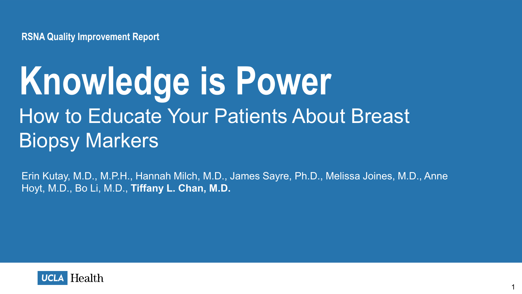**RSNA Quality Improvement Report**

# How to Educate Your Patients About Breast Biopsy Markers **Knowledge is Power**

Erin Kutay, M.D., M.P.H., Hannah Milch, M.D., James Sayre, Ph.D., Melissa Joines, M.D., Anne Hoyt, M.D., Bo Li, M.D., **Tiffany L. Chan, M.D.**

1

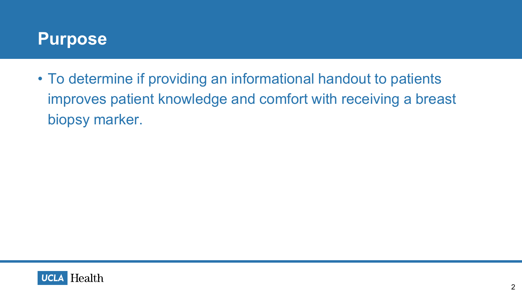### **Purpose**

• To determine if providing an informational handout to patients improves patient knowledge and comfort with receiving a breast biopsy marker.

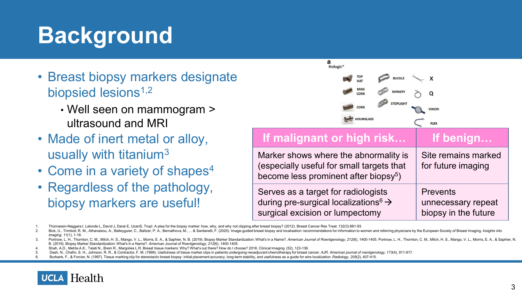# **Background**

- Breast biopsy markers designate biopsied lesions<sup>1,2</sup>
	- Well seen on mammogram > ultrasound and MRI
- Made of inert metal or alloy, usually with titanium3
- Come in a variety of shapes $4$
- Regardless of the pathology, biopsy markers are useful!



Serves as a target for radiologists during pre-surgical localizations  $\theta \rightarrow$ surgical excision or lumpectomy **Prevents** unnecessary repeat biopsy in the future

1. Thomassin-Naggara I, Lalonde L, David J, Darai E, UzanS, TropI. A plea for the biopsy marker: how, why, and why not clipping after breast biopsy? (2012). Breast Cancer Res Treat. 132(3):881-93.

Burbank, F., & Forcier, N. (1997). Tissue marking clip for stereotactic breast biopsy: initial placement accuracy, long-term stability, and usefulness as a quide for wire localization, Radiology, 205(2), 407-415.



<sup>2.</sup> Bick, U., Trimboli, R. M., Athanasiou, A., Balleyguier, C., Baltzer, P. A., Bemathova, M., ... & Sardanelli, F. (2020). Image-guided breast biopsy and localisation: recommendations for information to women and referring *imaging*, *11*(1), 1-18.

<sup>3.</sup> Portnow, L. H., Thornton, C. M., Milch, H. S., Mango, V. L., Morris, E. A., & Saphier, N. B. (2019). Biopsy Marker Standardization: What's in a Name?. American Journal of Roentgenology, 212(6), 1400-1405. Portnow, L. H. B. (2019). Biopsy Marker Standardization: What's in a Name?. *American Journal of Roentgenology*, *212*(6), 1400-1405.

<sup>4.</sup> Shah, A.D., Mehta A.K., Talati N., Brem R., Margolies L.R. Breast tissue markers: Why? What's out there? How do I choose? 2018. Clinical Imaging. (52), 123-136.

<sup>5.</sup> Dash, N., Chafin, S. H., Johnson, R. R., & Contractor, F. M. (1999). Usefulness of tissue marker clips in patients undergoing neoadjuvant chemotherapy for breast cancer. AJR. American journal of roentgenology, 173(4), 9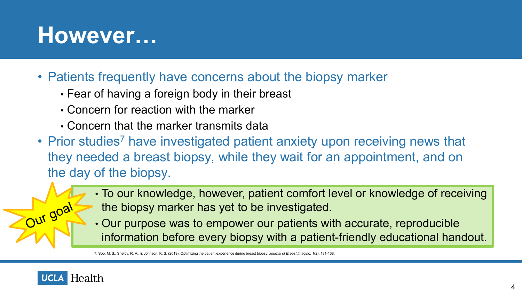### **However…**

- Patients frequently have concerns about the biopsy marker
	- Fear of having a foreign body in their breast
	- Concern for reaction with the marker
	- Concern that the marker transmits data
- Prior studies<sup>7</sup> have investigated patient anxiety upon receiving news that they needed a breast biopsy, while they wait for an appointment, and on the day of the biopsy.
	- To our knowledge, however, patient comfort level or knowledge of receiving the biopsy marker has yet to be investigated.
	- Our purpose was to empower our patients with accurate, reproducible information before every biopsy with a patient-friendly educational handout.

7. Soo, M. S., Shelby, R. A., & Johnson, K. S. (2019). Optimizing the patient experience during breast biopsy. *Journal of Breast Imaging*, *1*(2), 131-138.

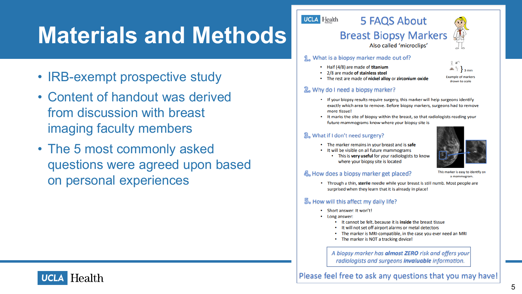## **Materials and Methods**

- IRB-exempt prospective study
- Content of handout was derived from discussion with breast imaging faculty members
- The 5 most commonly asked questions were agreed upon based on personal experiences

#### **UCLA** Health



Also called 'microclips'

5 FAQS About

#### 1. What is a biopsy marker made out of?

- . Half (4/8) are made of titanium
- 2/8 are made of stainless steel



. The rest are made of nickel alloy or zirconium oxide

#### 2. Why do I need a biopsy marker?

- If your biopsy results require surgery, this marker will help surgeons identify exactly which area to remove. Before biopsy markers, surgeons had to remove more tissue!
- It marks the site of biopsy within the breast, so that radiologists reading your future mammograms know where your biopsy site is

#### 3. What if I don't need surgery?

- The marker remains in your breast and is safe
- It will be visible on all future mammograms
	- . This is very useful for your radiologists to know where your biopsy site is located



This marker is easy to identify on a mammogram.

#### 4. How does a biopsy marker get placed?

. Through a thin, sterile needle while your breast is still numb. Most people are surprised when they learn that it is already in place!

#### 5. How will this affect my daily life?

- Short answer: It won't!
- Long answer:
	- . It cannot be felt, because it is inside the breast tissue
	- . It will not set off airport alarms or metal detectors
	- . The marker is MRI-compatible, in the case you ever need an MRI
	- The marker is NOT a tracking device!

A biopsy marker has almost ZERO risk and offers your radiologists and surgeons *invaluable* information.

Please feel free to ask any questions that you may have!

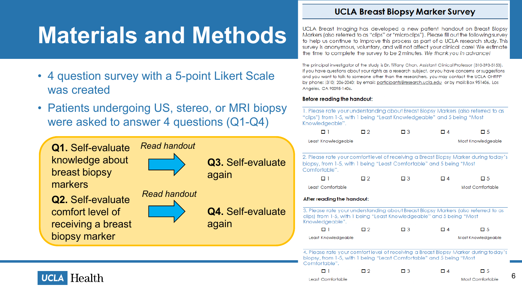## **Materials and Methods**

- 4 question survey with a 5 -point Likert Scale was created
- Patients undergoing US, stereo, or MRI biopsy were asked to answer 4 questions (Q1 -Q4)



#### **UCLA Breast Biopsy Marker Survey**

UCLA Breast Imaging has developed a new patient handout on Breast Biopsy Markers (also referred to as "clips" or "microclips"). Please fill out the following survey to help us continue to improve this process as part of a UCLA research study. This survey is anonymous, voluntary, and will not affect your clinical care! We estimate the time to complete the survey to be 2 minutes. We thank you in advance!

The principal investigator of the study is Dr. Tiffany Chan, Assistant Clinical Professor (310-393-5153). If you have questions about your rights as a research subject, or you have concerns or suggestions and you want to talk to someone other than the researchers, you may contact the UCLA OHRPP by phone: (310) 206-2040; by email: participants@research.ucla.edu or by mail: Box 951406, Los Angeles, CA 90095-1406.

#### Before reading the handout:

1. Please rate your understanding about Breast Biopsy Markers (also referred to as "clips") from 1-5, with 1 being "Least Knowledgeable" and 5 being "Most Knowledgeable".

| ו ם                                                                                                                                                                            | 口 2                | $\square$ 3        | $\Box$ 4         | $\square$ 5 |  |  |
|--------------------------------------------------------------------------------------------------------------------------------------------------------------------------------|--------------------|--------------------|------------------|-------------|--|--|
| Least Knowledgeable                                                                                                                                                            | Most Knowledgeable |                    |                  |             |  |  |
| 2. Please rate your comfort level of receiving a Breast Biopsy Marker during today's<br>biopsy, from 1-5, with 1 being "Least Comfortable" and 5 being "Most<br>Comfortable".  |                    |                    |                  |             |  |  |
| ו ם                                                                                                                                                                            | ロク                 | $\Box$ 3           | □ 4              | □ 5         |  |  |
| Least Comfortable                                                                                                                                                              |                    |                    |                  |             |  |  |
| After reading the handout:                                                                                                                                                     |                    |                    |                  |             |  |  |
| 3. Please rate your understanding about Breast Biopsy Markers (also referred to as<br>clips) from 1-5, with 1 being "Least Knowledgeable" and 5 being "Most<br>Knowledgeable". |                    |                    |                  |             |  |  |
| ו ח                                                                                                                                                                            | 口 2                | $\Box$ 3           | $\Box$ 4         | □ 5         |  |  |
| Least Knowledgeable                                                                                                                                                            |                    | Most Knowledgeable |                  |             |  |  |
| 4. Please rate your comfort level of receiving a Breast Biopsy Marker during today's<br>biopsy, from 1-5, with 1 being "Least Comfortable" and 5 being "Most<br>Comfortable".  |                    |                    |                  |             |  |  |
| ו ח                                                                                                                                                                            | 口 2                | $\Box$ 3           | □ 4              | □ 5         |  |  |
| Least Comfortable                                                                                                                                                              |                    |                    | Most Comfortable |             |  |  |

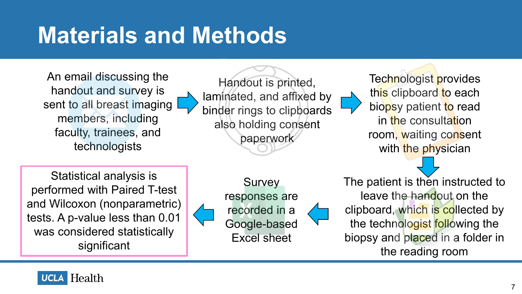### **Materials and Methods**

An email discussing the handout and survey is sent to all breast imaging members, including faculty, trainees, and technologists

Handout is printed, laminated, and affixed by binder rings to clipboards also holding consent paperwork

Technologist provides this clipboard to each biopsy patient to read in the consultation room, waiting consent with the physician

Statistical analysis is performed with Paired T-test and Wilcoxon (nonparametric) tests. A p-value less than 0.01 was considered statistically significant

**Survey** responses are recorded in a Google-based Excel sheet

The patient is then instructed to leave the handout on the clipboard, which is collected by the technologist following the biopsy and placed in a folder in the reading room

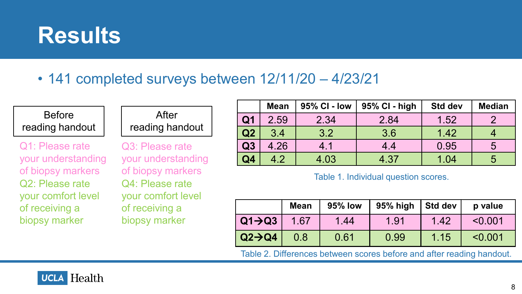

• 141 completed surveys between 12/11/20 – 4/23/21

### Before reading handout

Q1: Please rate your understanding of biopsy markers Q2: Please rate your comfort level of receiving a biopsy marker

### After reading handout

Q3: Please rate your understanding of biopsy markers Q4: Please rate your comfort level of receiving a biopsy marker

|                | <b>Mean</b> | 95% CI - Iow | 95% CI - high | Std dev | <b>Median</b> |
|----------------|-------------|--------------|---------------|---------|---------------|
| Q <sub>1</sub> | 2.59        | 2.34         | 2.84          | 1.52    |               |
| Q2             | 3.4         | 3.2          | 3.6           | 1.42    |               |
| Q3             | 4.26        | 4.1          | 4.4           | 0.95    | $\mathbf b$   |
| Q4             | 4.2         | 4.03         | 4.37          | 1.04    |               |

Table 1. Individual question scores.

|                     | <b>Mean</b> | <b>95% low</b> | 95% high   Std dev |      | p value |
|---------------------|-------------|----------------|--------------------|------|---------|
| $Q1 \rightarrow Q3$ | 1.67        | 1.44           | 1.91               | 1.42 | < 0.001 |
| $Q2 \rightarrow Q4$ | 0.8         | 0.61           | 0.99               | 1.15 | < 0.001 |

Table 2. Differences between scores before and after reading handout.

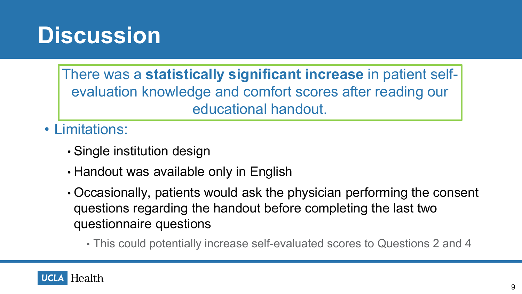### **Discussion**

There was a **statistically significant increase** in patient selfevaluation knowledge and comfort scores after reading our educational handout.

• Limitations:

- Single institution design
- Handout was available only in English
- Occasionally, patients would ask the physician performing the consent questions regarding the handout before completing the last two questionnaire questions
	- This could potentially increase self-evaluated scores to Questions 2 and 4